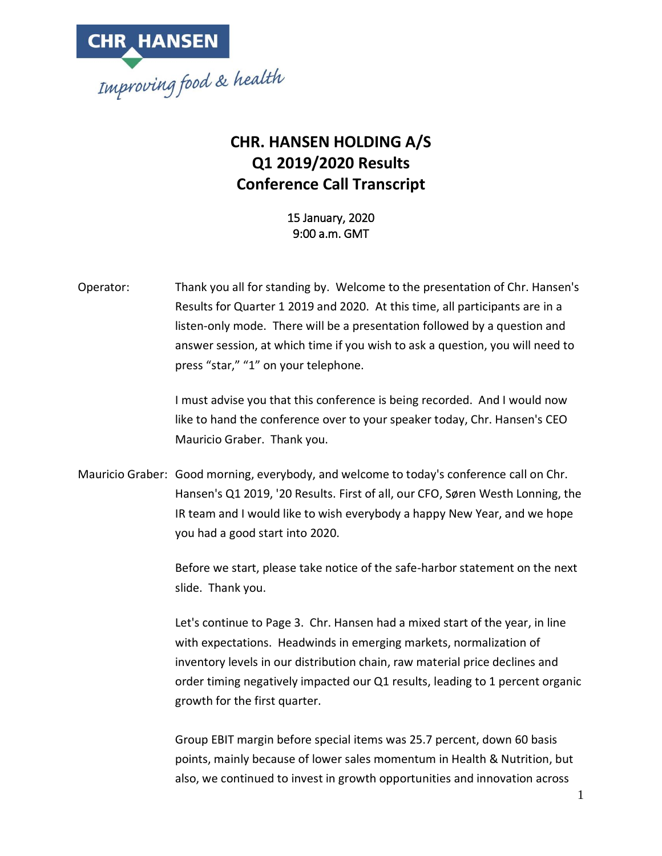

#### **CHR. HANSEN HOLDING A/S Q1 2019/2020 Results Conference Call Transcript**

15 January, 2020 9:00 a.m. GMT

Operator: Thank you all for standing by. Welcome to the presentation of Chr. Hansen's Results for Quarter 1 2019 and 2020. At this time, all participants are in a listen-only mode. There will be a presentation followed by a question and answer session, at which time if you wish to ask a question, you will need to press "star," "1" on your telephone.

> I must advise you that this conference is being recorded. And I would now like to hand the conference over to your speaker today, Chr. Hansen's CEO Mauricio Graber. Thank you.

Mauricio Graber: Good morning, everybody, and welcome to today's conference call on Chr. Hansen's Q1 2019, '20 Results. First of all, our CFO, Søren Westh Lonning, the IR team and I would like to wish everybody a happy New Year, and we hope you had a good start into 2020.

> Before we start, please take notice of the safe-harbor statement on the next slide. Thank you.

> Let's continue to Page 3. Chr. Hansen had a mixed start of the year, in line with expectations. Headwinds in emerging markets, normalization of inventory levels in our distribution chain, raw material price declines and order timing negatively impacted our Q1 results, leading to 1 percent organic growth for the first quarter.

Group EBIT margin before special items was 25.7 percent, down 60 basis points, mainly because of lower sales momentum in Health & Nutrition, but also, we continued to invest in growth opportunities and innovation across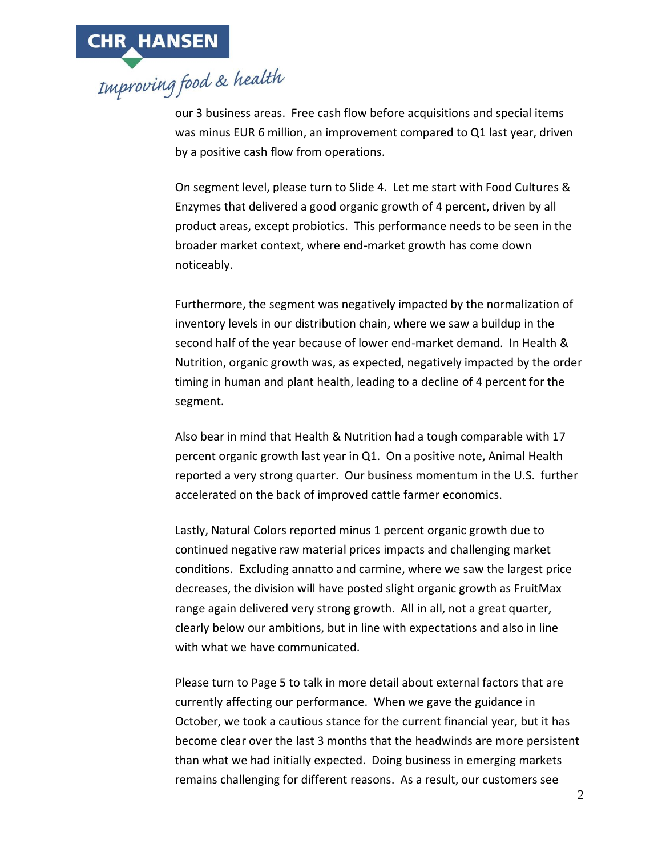

our 3 business areas. Free cash flow before acquisitions and special items was minus EUR 6 million, an improvement compared to Q1 last year, driven by a positive cash flow from operations.

On segment level, please turn to Slide 4. Let me start with Food Cultures & Enzymes that delivered a good organic growth of 4 percent, driven by all product areas, except probiotics. This performance needs to be seen in the broader market context, where end-market growth has come down noticeably.

Furthermore, the segment was negatively impacted by the normalization of inventory levels in our distribution chain, where we saw a buildup in the second half of the year because of lower end-market demand. In Health & Nutrition, organic growth was, as expected, negatively impacted by the order timing in human and plant health, leading to a decline of 4 percent for the segment.

Also bear in mind that Health & Nutrition had a tough comparable with 17 percent organic growth last year in Q1. On a positive note, Animal Health reported a very strong quarter. Our business momentum in the U.S. further accelerated on the back of improved cattle farmer economics.

Lastly, Natural Colors reported minus 1 percent organic growth due to continued negative raw material prices impacts and challenging market conditions. Excluding annatto and carmine, where we saw the largest price decreases, the division will have posted slight organic growth as FruitMax range again delivered very strong growth. All in all, not a great quarter, clearly below our ambitions, but in line with expectations and also in line with what we have communicated.

Please turn to Page 5 to talk in more detail about external factors that are currently affecting our performance. When we gave the guidance in October, we took a cautious stance for the current financial year, but it has become clear over the last 3 months that the headwinds are more persistent than what we had initially expected. Doing business in emerging markets remains challenging for different reasons. As a result, our customers see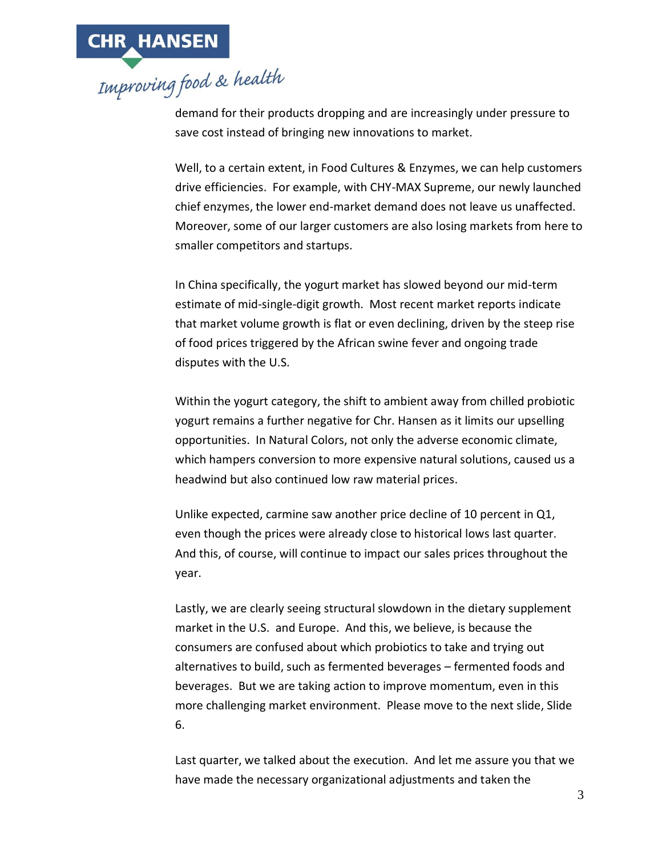

demand for their products dropping and are increasingly under pressure to save cost instead of bringing new innovations to market.

Well, to a certain extent, in Food Cultures & Enzymes, we can help customers drive efficiencies. For example, with CHY-MAX Supreme, our newly launched chief enzymes, the lower end-market demand does not leave us unaffected. Moreover, some of our larger customers are also losing markets from here to smaller competitors and startups.

In China specifically, the yogurt market has slowed beyond our mid-term estimate of mid-single-digit growth. Most recent market reports indicate that market volume growth is flat or even declining, driven by the steep rise of food prices triggered by the African swine fever and ongoing trade disputes with the U.S.

Within the yogurt category, the shift to ambient away from chilled probiotic yogurt remains a further negative for Chr. Hansen as it limits our upselling opportunities. In Natural Colors, not only the adverse economic climate, which hampers conversion to more expensive natural solutions, caused us a headwind but also continued low raw material prices.

Unlike expected, carmine saw another price decline of 10 percent in Q1, even though the prices were already close to historical lows last quarter. And this, of course, will continue to impact our sales prices throughout the year.

Lastly, we are clearly seeing structural slowdown in the dietary supplement market in the U.S. and Europe. And this, we believe, is because the consumers are confused about which probiotics to take and trying out alternatives to build, such as fermented beverages – fermented foods and beverages. But we are taking action to improve momentum, even in this more challenging market environment. Please move to the next slide, Slide 6.

Last quarter, we talked about the execution. And let me assure you that we have made the necessary organizational adjustments and taken the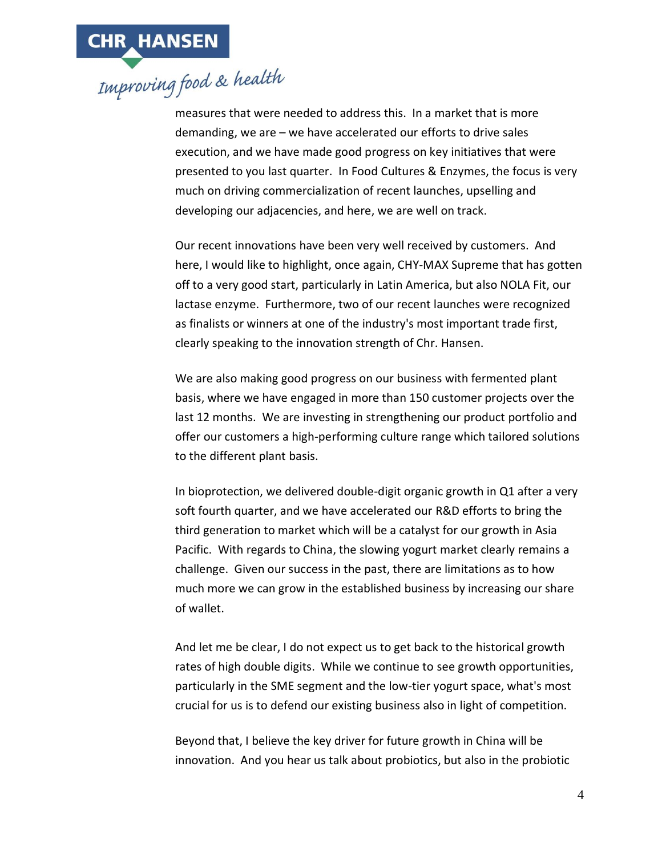measures that were needed to address this. In a market that is more demanding, we are – we have accelerated our efforts to drive sales execution, and we have made good progress on key initiatives that were presented to you last quarter. In Food Cultures & Enzymes, the focus is very much on driving commercialization of recent launches, upselling and developing our adjacencies, and here, we are well on track.

Our recent innovations have been very well received by customers. And here, I would like to highlight, once again, CHY-MAX Supreme that has gotten off to a very good start, particularly in Latin America, but also NOLA Fit, our lactase enzyme. Furthermore, two of our recent launches were recognized as finalists or winners at one of the industry's most important trade first, clearly speaking to the innovation strength of Chr. Hansen.

We are also making good progress on our business with fermented plant basis, where we have engaged in more than 150 customer projects over the last 12 months. We are investing in strengthening our product portfolio and offer our customers a high-performing culture range which tailored solutions to the different plant basis.

In bioprotection, we delivered double-digit organic growth in Q1 after a very soft fourth quarter, and we have accelerated our R&D efforts to bring the third generation to market which will be a catalyst for our growth in Asia Pacific. With regards to China, the slowing yogurt market clearly remains a challenge. Given our success in the past, there are limitations as to how much more we can grow in the established business by increasing our share of wallet.

And let me be clear, I do not expect us to get back to the historical growth rates of high double digits. While we continue to see growth opportunities, particularly in the SME segment and the low-tier yogurt space, what's most crucial for us is to defend our existing business also in light of competition.

Beyond that, I believe the key driver for future growth in China will be innovation. And you hear us talk about probiotics, but also in the probiotic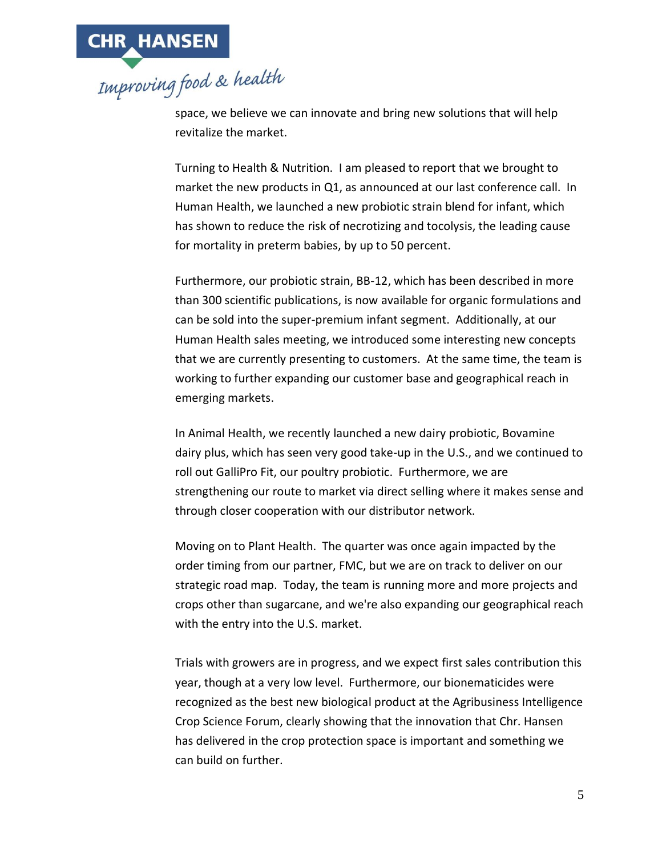

space, we believe we can innovate and bring new solutions that will help revitalize the market.

Turning to Health & Nutrition. I am pleased to report that we brought to market the new products in Q1, as announced at our last conference call. In Human Health, we launched a new probiotic strain blend for infant, which has shown to reduce the risk of necrotizing and tocolysis, the leading cause for mortality in preterm babies, by up to 50 percent.

Furthermore, our probiotic strain, BB-12, which has been described in more than 300 scientific publications, is now available for organic formulations and can be sold into the super-premium infant segment. Additionally, at our Human Health sales meeting, we introduced some interesting new concepts that we are currently presenting to customers. At the same time, the team is working to further expanding our customer base and geographical reach in emerging markets.

In Animal Health, we recently launched a new dairy probiotic, Bovamine dairy plus, which has seen very good take-up in the U.S., and we continued to roll out GalliPro Fit, our poultry probiotic. Furthermore, we are strengthening our route to market via direct selling where it makes sense and through closer cooperation with our distributor network.

Moving on to Plant Health. The quarter was once again impacted by the order timing from our partner, FMC, but we are on track to deliver on our strategic road map. Today, the team is running more and more projects and crops other than sugarcane, and we're also expanding our geographical reach with the entry into the U.S. market.

Trials with growers are in progress, and we expect first sales contribution this year, though at a very low level. Furthermore, our bionematicides were recognized as the best new biological product at the Agribusiness Intelligence Crop Science Forum, clearly showing that the innovation that Chr. Hansen has delivered in the crop protection space is important and something we can build on further.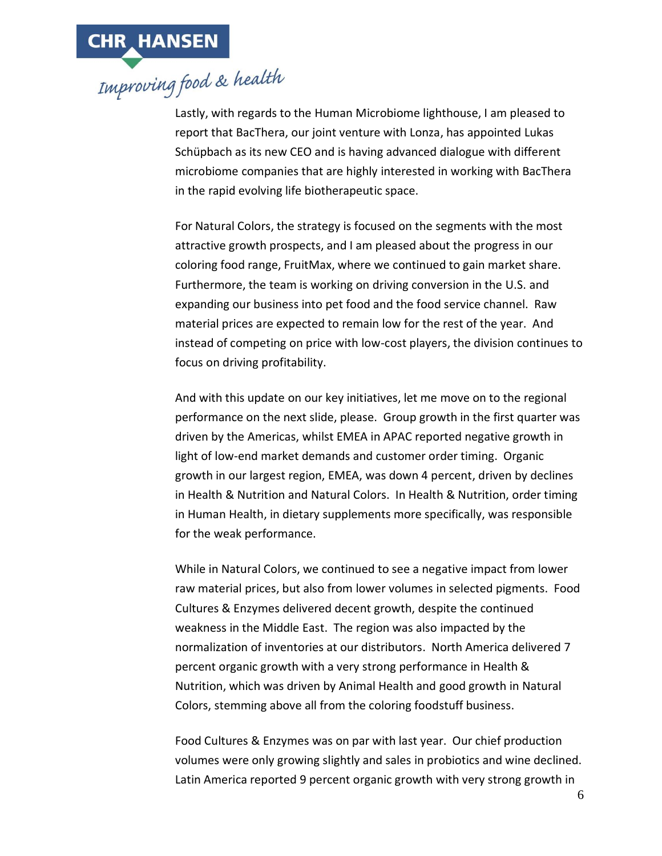

Lastly, with regards to the Human Microbiome lighthouse, I am pleased to report that BacThera, our joint venture with Lonza, has appointed Lukas Schüpbach as its new CEO and is having advanced dialogue with different microbiome companies that are highly interested in working with BacThera in the rapid evolving life biotherapeutic space.

For Natural Colors, the strategy is focused on the segments with the most attractive growth prospects, and I am pleased about the progress in our coloring food range, FruitMax, where we continued to gain market share. Furthermore, the team is working on driving conversion in the U.S. and expanding our business into pet food and the food service channel. Raw material prices are expected to remain low for the rest of the year. And instead of competing on price with low-cost players, the division continues to focus on driving profitability.

And with this update on our key initiatives, let me move on to the regional performance on the next slide, please. Group growth in the first quarter was driven by the Americas, whilst EMEA in APAC reported negative growth in light of low-end market demands and customer order timing. Organic growth in our largest region, EMEA, was down 4 percent, driven by declines in Health & Nutrition and Natural Colors. In Health & Nutrition, order timing in Human Health, in dietary supplements more specifically, was responsible for the weak performance.

While in Natural Colors, we continued to see a negative impact from lower raw material prices, but also from lower volumes in selected pigments. Food Cultures & Enzymes delivered decent growth, despite the continued weakness in the Middle East. The region was also impacted by the normalization of inventories at our distributors. North America delivered 7 percent organic growth with a very strong performance in Health & Nutrition, which was driven by Animal Health and good growth in Natural Colors, stemming above all from the coloring foodstuff business.

Food Cultures & Enzymes was on par with last year. Our chief production volumes were only growing slightly and sales in probiotics and wine declined. Latin America reported 9 percent organic growth with very strong growth in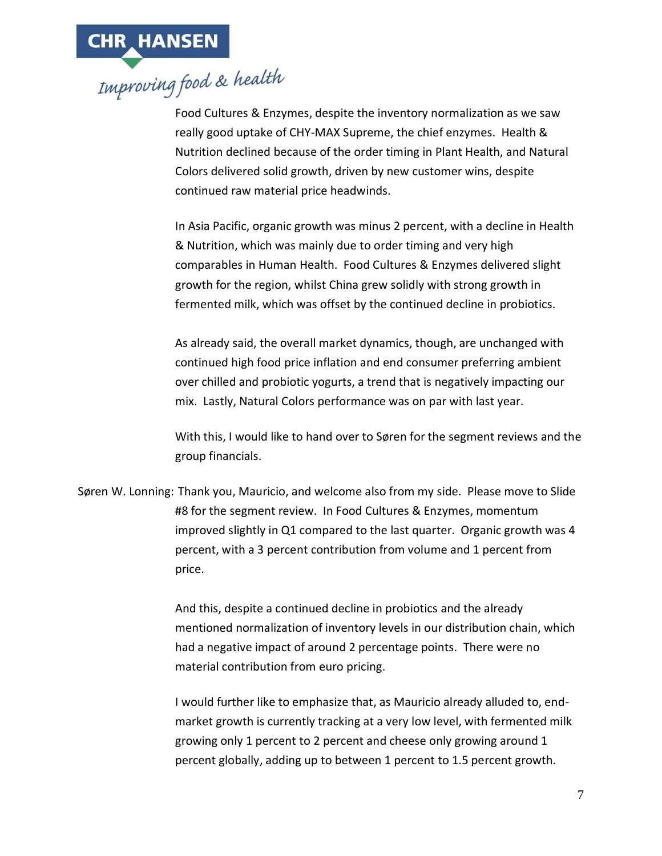

Food Cultures & Enzymes, despite the inventory normalization as we saw really good uptake of CHY-MAX Supreme, the chief enzymes. Health & Nutrition declined because of the order timing in Plant Health, and Natural Colors delivered solid growth, driven by new customer wins, despite continued raw material price headwinds.

In Asia Pacific, organic growth was minus 2 percent, with a decline in Health & Nutrition, which was mainly due to order timing and very high comparables in Human Health. Food Cultures & Enzymes delivered slight growth for the region, whilst China grew solidly with strong growth in fermented milk, which was offset by the continued decline in probiotics.

As already said, the overall market dynamics, though, are unchanged with continued high food price inflation and end consumer preferring ambient over chilled and probiotic yogurts, a trend that is negatively impacting our mix. Lastly, Natural Colors performance was on par with last year.

With this, I would like to hand over to Søren for the segment reviews and the group financials.

Søren W. Lonning: Thank you, Mauricio, and welcome also from my side. Please move to Slide #8 for the segment review. In Food Cultures & Enzymes, momentum improved slightly in Q1 compared to the last quarter. Organic growth was 4 percent, with a 3 percent contribution from volume and 1 percent from price.

> And this, despite a continued decline in probiotics and the already mentioned normalization of inventory levels in our distribution chain, which had a negative impact of around 2 percentage points. There were no material contribution from euro pricing.

> I would further like to emphasize that, as Mauricio already alluded to, endmarket growth is currently tracking at a very low level, with fermented milk growing only 1 percent to 2 percent and cheese only growing around 1 percent globally, adding up to between 1 percent to 1.5 percent growth.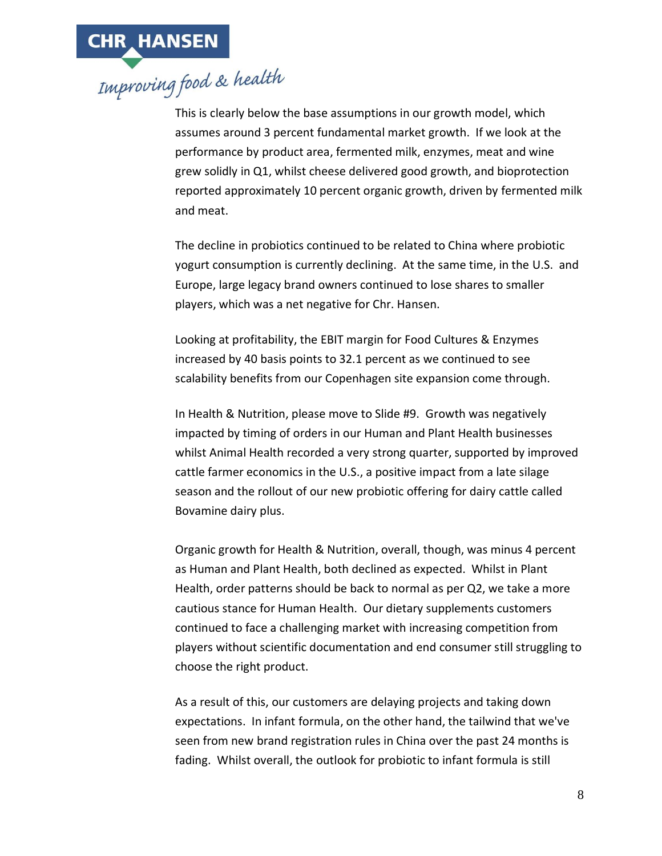

This is clearly below the base assumptions in our growth model, which assumes around 3 percent fundamental market growth. If we look at the performance by product area, fermented milk, enzymes, meat and wine grew solidly in Q1, whilst cheese delivered good growth, and bioprotection reported approximately 10 percent organic growth, driven by fermented milk and meat.

The decline in probiotics continued to be related to China where probiotic yogurt consumption is currently declining. At the same time, in the U.S. and Europe, large legacy brand owners continued to lose shares to smaller players, which was a net negative for Chr. Hansen.

Looking at profitability, the EBIT margin for Food Cultures & Enzymes increased by 40 basis points to 32.1 percent as we continued to see scalability benefits from our Copenhagen site expansion come through.

In Health & Nutrition, please move to Slide #9. Growth was negatively impacted by timing of orders in our Human and Plant Health businesses whilst Animal Health recorded a very strong quarter, supported by improved cattle farmer economics in the U.S., a positive impact from a late silage season and the rollout of our new probiotic offering for dairy cattle called Bovamine dairy plus.

Organic growth for Health & Nutrition, overall, though, was minus 4 percent as Human and Plant Health, both declined as expected. Whilst in Plant Health, order patterns should be back to normal as per Q2, we take a more cautious stance for Human Health. Our dietary supplements customers continued to face a challenging market with increasing competition from players without scientific documentation and end consumer still struggling to choose the right product.

As a result of this, our customers are delaying projects and taking down expectations. In infant formula, on the other hand, the tailwind that we've seen from new brand registration rules in China over the past 24 months is fading. Whilst overall, the outlook for probiotic to infant formula is still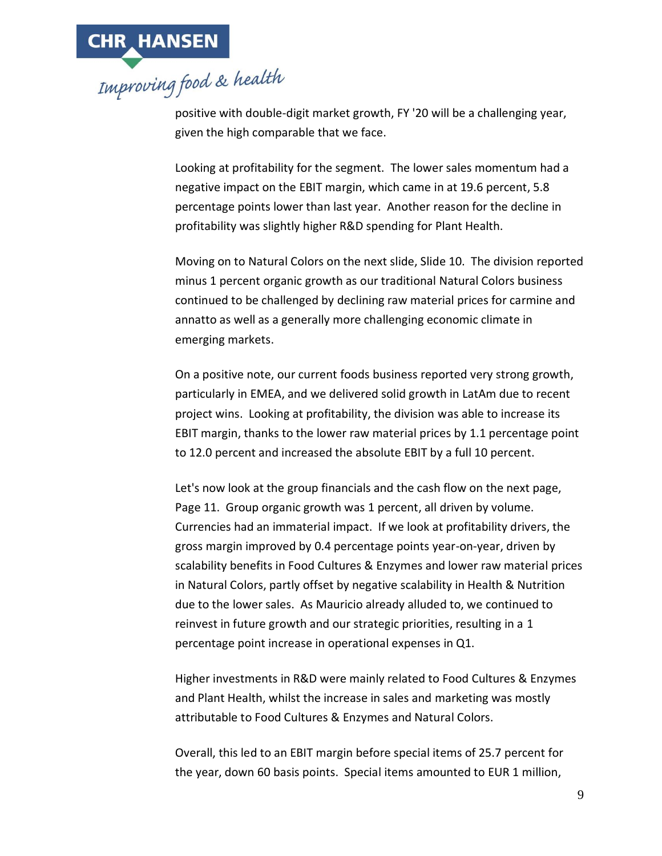

positive with double-digit market growth, FY '20 will be a challenging year, given the high comparable that we face.

Looking at profitability for the segment. The lower sales momentum had a negative impact on the EBIT margin, which came in at 19.6 percent, 5.8 percentage points lower than last year. Another reason for the decline in profitability was slightly higher R&D spending for Plant Health.

Moving on to Natural Colors on the next slide, Slide 10. The division reported minus 1 percent organic growth as our traditional Natural Colors business continued to be challenged by declining raw material prices for carmine and annatto as well as a generally more challenging economic climate in emerging markets.

On a positive note, our current foods business reported very strong growth, particularly in EMEA, and we delivered solid growth in LatAm due to recent project wins. Looking at profitability, the division was able to increase its EBIT margin, thanks to the lower raw material prices by 1.1 percentage point to 12.0 percent and increased the absolute EBIT by a full 10 percent.

Let's now look at the group financials and the cash flow on the next page, Page 11. Group organic growth was 1 percent, all driven by volume. Currencies had an immaterial impact. If we look at profitability drivers, the gross margin improved by 0.4 percentage points year-on-year, driven by scalability benefits in Food Cultures & Enzymes and lower raw material prices in Natural Colors, partly offset by negative scalability in Health & Nutrition due to the lower sales. As Mauricio already alluded to, we continued to reinvest in future growth and our strategic priorities, resulting in a 1 percentage point increase in operational expenses in Q1.

Higher investments in R&D were mainly related to Food Cultures & Enzymes and Plant Health, whilst the increase in sales and marketing was mostly attributable to Food Cultures & Enzymes and Natural Colors.

Overall, this led to an EBIT margin before special items of 25.7 percent for the year, down 60 basis points. Special items amounted to EUR 1 million,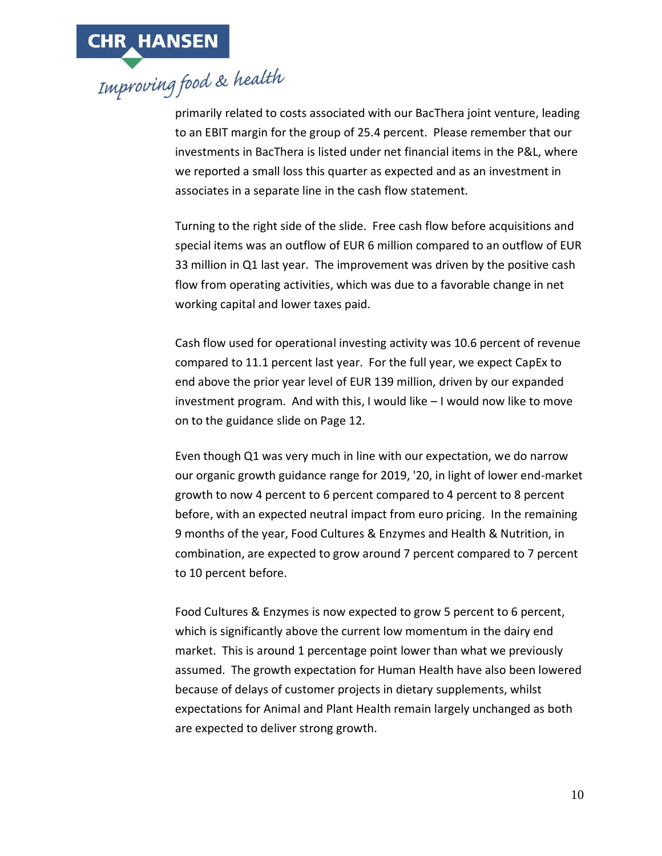

primarily related to costs associated with our BacThera joint venture, leading to an EBIT margin for the group of 25.4 percent. Please remember that our investments in BacThera is listed under net financial items in the P&L, where we reported a small loss this quarter as expected and as an investment in associates in a separate line in the cash flow statement.

Turning to the right side of the slide. Free cash flow before acquisitions and special items was an outflow of EUR 6 million compared to an outflow of EUR 33 million in Q1 last year. The improvement was driven by the positive cash flow from operating activities, which was due to a favorable change in net working capital and lower taxes paid.

Cash flow used for operational investing activity was 10.6 percent of revenue compared to 11.1 percent last year. For the full year, we expect CapEx to end above the prior year level of EUR 139 million, driven by our expanded investment program. And with this, I would like – I would now like to move on to the guidance slide on Page 12.

Even though Q1 was very much in line with our expectation, we do narrow our organic growth guidance range for 2019, '20, in light of lower end-market growth to now 4 percent to 6 percent compared to 4 percent to 8 percent before, with an expected neutral impact from euro pricing. In the remaining 9 months of the year, Food Cultures & Enzymes and Health & Nutrition, in combination, are expected to grow around 7 percent compared to 7 percent to 10 percent before.

Food Cultures & Enzymes is now expected to grow 5 percent to 6 percent, which is significantly above the current low momentum in the dairy end market. This is around 1 percentage point lower than what we previously assumed. The growth expectation for Human Health have also been lowered because of delays of customer projects in dietary supplements, whilst expectations for Animal and Plant Health remain largely unchanged as both are expected to deliver strong growth.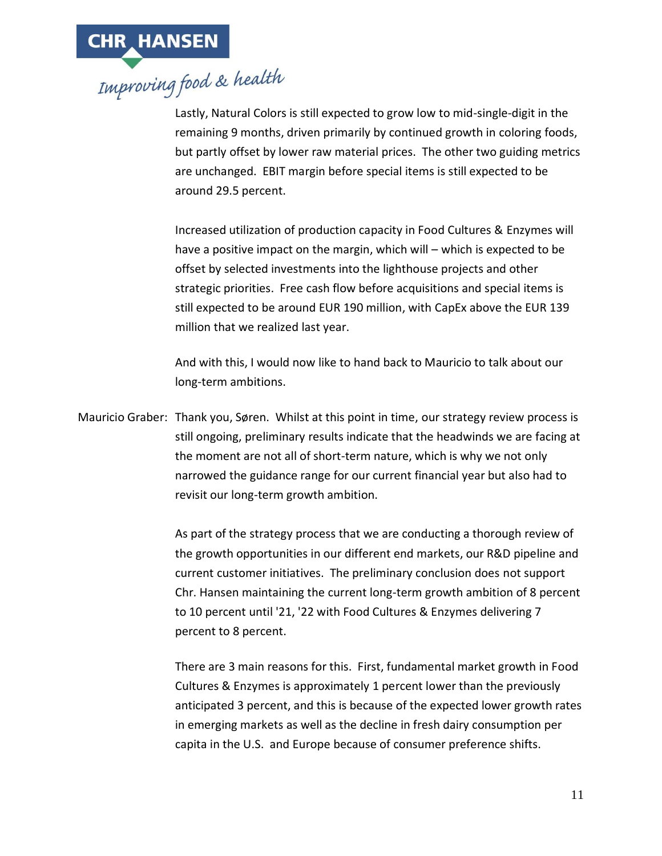

Lastly, Natural Colors is still expected to grow low to mid-single-digit in the remaining 9 months, driven primarily by continued growth in coloring foods, but partly offset by lower raw material prices. The other two guiding metrics are unchanged. EBIT margin before special items is still expected to be around 29.5 percent.

Increased utilization of production capacity in Food Cultures & Enzymes will have a positive impact on the margin, which will – which is expected to be offset by selected investments into the lighthouse projects and other strategic priorities. Free cash flow before acquisitions and special items is still expected to be around EUR 190 million, with CapEx above the EUR 139 million that we realized last year.

And with this, I would now like to hand back to Mauricio to talk about our long-term ambitions.

Mauricio Graber: Thank you, Søren. Whilst at this point in time, our strategy review process is still ongoing, preliminary results indicate that the headwinds we are facing at the moment are not all of short-term nature, which is why we not only narrowed the guidance range for our current financial year but also had to revisit our long-term growth ambition.

> As part of the strategy process that we are conducting a thorough review of the growth opportunities in our different end markets, our R&D pipeline and current customer initiatives. The preliminary conclusion does not support Chr. Hansen maintaining the current long-term growth ambition of 8 percent to 10 percent until '21, '22 with Food Cultures & Enzymes delivering 7 percent to 8 percent.

> There are 3 main reasons for this. First, fundamental market growth in Food Cultures & Enzymes is approximately 1 percent lower than the previously anticipated 3 percent, and this is because of the expected lower growth rates in emerging markets as well as the decline in fresh dairy consumption per capita in the U.S. and Europe because of consumer preference shifts.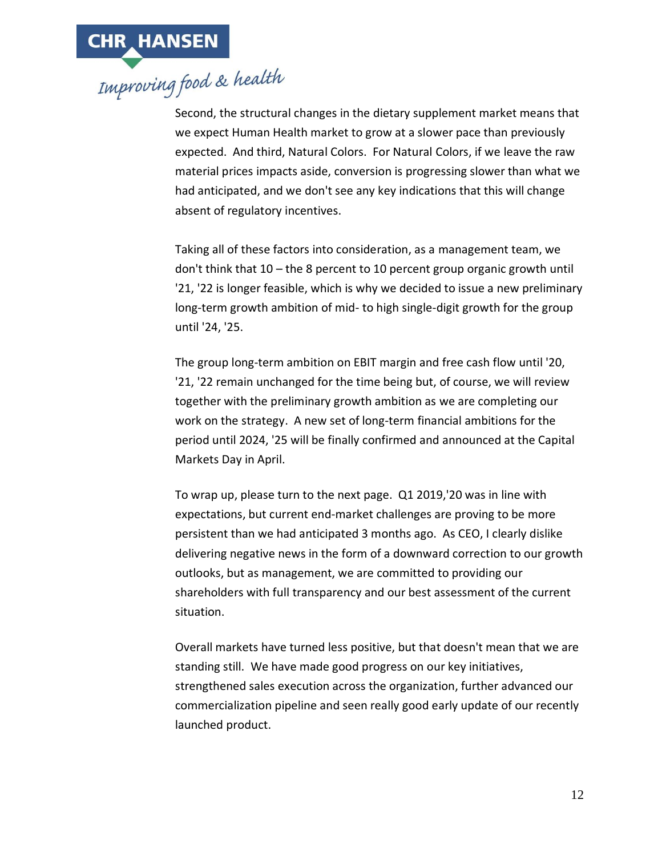Second, the structural changes in the dietary supplement market means that we expect Human Health market to grow at a slower pace than previously expected. And third, Natural Colors. For Natural Colors, if we leave the raw material prices impacts aside, conversion is progressing slower than what we had anticipated, and we don't see any key indications that this will change absent of regulatory incentives.

Taking all of these factors into consideration, as a management team, we don't think that 10 – the 8 percent to 10 percent group organic growth until '21, '22 is longer feasible, which is why we decided to issue a new preliminary long-term growth ambition of mid- to high single-digit growth for the group until '24, '25.

The group long-term ambition on EBIT margin and free cash flow until '20, '21, '22 remain unchanged for the time being but, of course, we will review together with the preliminary growth ambition as we are completing our work on the strategy. A new set of long-term financial ambitions for the period until 2024, '25 will be finally confirmed and announced at the Capital Markets Day in April.

To wrap up, please turn to the next page. Q1 2019,'20 was in line with expectations, but current end-market challenges are proving to be more persistent than we had anticipated 3 months ago. As CEO, I clearly dislike delivering negative news in the form of a downward correction to our growth outlooks, but as management, we are committed to providing our shareholders with full transparency and our best assessment of the current situation.

Overall markets have turned less positive, but that doesn't mean that we are standing still. We have made good progress on our key initiatives, strengthened sales execution across the organization, further advanced our commercialization pipeline and seen really good early update of our recently launched product.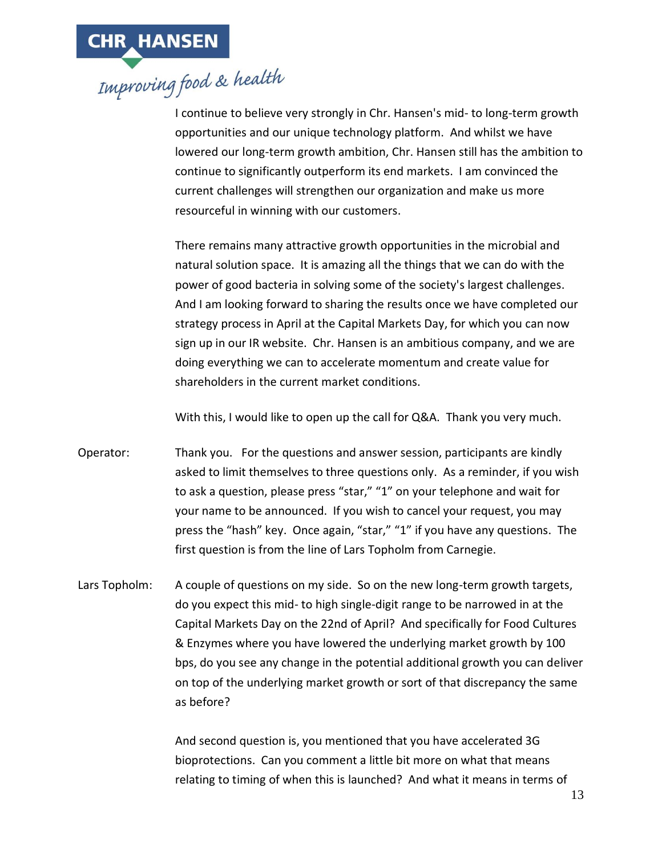I continue to believe very strongly in Chr. Hansen's mid- to long-term growth opportunities and our unique technology platform. And whilst we have lowered our long-term growth ambition, Chr. Hansen still has the ambition to continue to significantly outperform its end markets. I am convinced the current challenges will strengthen our organization and make us more resourceful in winning with our customers.

There remains many attractive growth opportunities in the microbial and natural solution space. It is amazing all the things that we can do with the power of good bacteria in solving some of the society's largest challenges. And I am looking forward to sharing the results once we have completed our strategy process in April at the Capital Markets Day, for which you can now sign up in our IR website. Chr. Hansen is an ambitious company, and we are doing everything we can to accelerate momentum and create value for shareholders in the current market conditions.

With this, I would like to open up the call for Q&A. Thank you very much.

- Operator: Thank you. For the questions and answer session, participants are kindly asked to limit themselves to three questions only. As a reminder, if you wish to ask a question, please press "star," "1" on your telephone and wait for your name to be announced. If you wish to cancel your request, you may press the "hash" key. Once again, "star," "1" if you have any questions. The first question is from the line of Lars Topholm from Carnegie.
- Lars Topholm: A couple of questions on my side. So on the new long-term growth targets, do you expect this mid- to high single-digit range to be narrowed in at the Capital Markets Day on the 22nd of April? And specifically for Food Cultures & Enzymes where you have lowered the underlying market growth by 100 bps, do you see any change in the potential additional growth you can deliver on top of the underlying market growth or sort of that discrepancy the same as before?

And second question is, you mentioned that you have accelerated 3G bioprotections. Can you comment a little bit more on what that means relating to timing of when this is launched? And what it means in terms of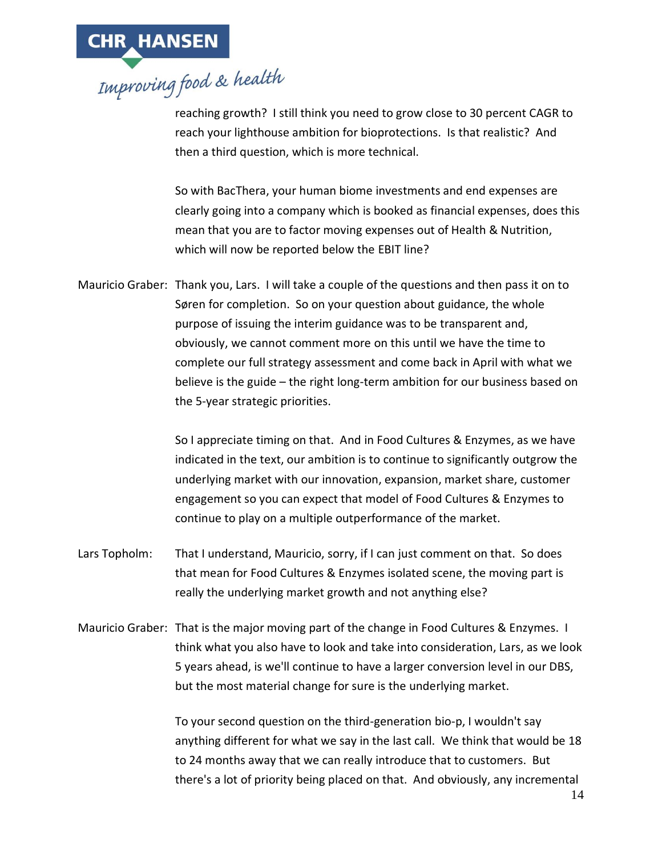

reaching growth? I still think you need to grow close to 30 percent CAGR to reach your lighthouse ambition for bioprotections. Is that realistic? And then a third question, which is more technical.

So with BacThera, your human biome investments and end expenses are clearly going into a company which is booked as financial expenses, does this mean that you are to factor moving expenses out of Health & Nutrition, which will now be reported below the EBIT line?

Mauricio Graber: Thank you, Lars. I will take a couple of the questions and then pass it on to Søren for completion. So on your question about guidance, the whole purpose of issuing the interim guidance was to be transparent and, obviously, we cannot comment more on this until we have the time to complete our full strategy assessment and come back in April with what we believe is the guide – the right long-term ambition for our business based on the 5-year strategic priorities.

> So I appreciate timing on that. And in Food Cultures & Enzymes, as we have indicated in the text, our ambition is to continue to significantly outgrow the underlying market with our innovation, expansion, market share, customer engagement so you can expect that model of Food Cultures & Enzymes to continue to play on a multiple outperformance of the market.

- Lars Topholm: That I understand, Mauricio, sorry, if I can just comment on that. So does that mean for Food Cultures & Enzymes isolated scene, the moving part is really the underlying market growth and not anything else?
- Mauricio Graber: That is the major moving part of the change in Food Cultures & Enzymes. I think what you also have to look and take into consideration, Lars, as we look 5 years ahead, is we'll continue to have a larger conversion level in our DBS, but the most material change for sure is the underlying market.

To your second question on the third-generation bio-p, I wouldn't say anything different for what we say in the last call. We think that would be 18 to 24 months away that we can really introduce that to customers. But there's a lot of priority being placed on that. And obviously, any incremental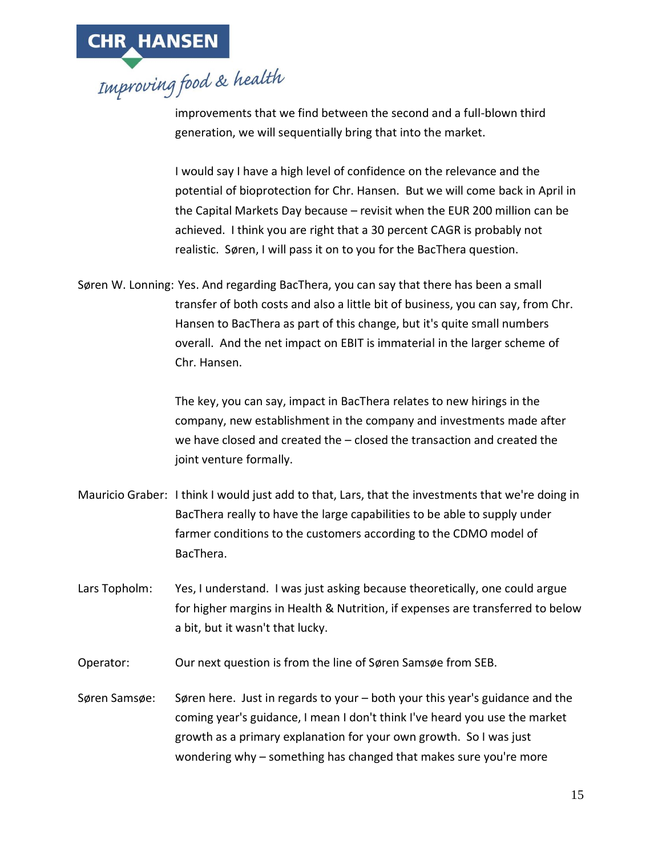

improvements that we find between the second and a full-blown third generation, we will sequentially bring that into the market.

I would say I have a high level of confidence on the relevance and the potential of bioprotection for Chr. Hansen. But we will come back in April in the Capital Markets Day because – revisit when the EUR 200 million can be achieved. I think you are right that a 30 percent CAGR is probably not realistic. Søren, I will pass it on to you for the BacThera question.

Søren W. Lonning: Yes. And regarding BacThera, you can say that there has been a small transfer of both costs and also a little bit of business, you can say, from Chr. Hansen to BacThera as part of this change, but it's quite small numbers overall. And the net impact on EBIT is immaterial in the larger scheme of Chr. Hansen.

> The key, you can say, impact in BacThera relates to new hirings in the company, new establishment in the company and investments made after we have closed and created the – closed the transaction and created the joint venture formally.

- Mauricio Graber: I think I would just add to that, Lars, that the investments that we're doing in BacThera really to have the large capabilities to be able to supply under farmer conditions to the customers according to the CDMO model of BacThera.
- Lars Topholm: Yes, I understand. I was just asking because theoretically, one could argue for higher margins in Health & Nutrition, if expenses are transferred to below a bit, but it wasn't that lucky.

Operator: Our next question is from the line of Søren Samsøe from SEB.

Søren Samsøe: Søren here. Just in regards to your – both your this year's guidance and the coming year's guidance, I mean I don't think I've heard you use the market growth as a primary explanation for your own growth. So I was just wondering why – something has changed that makes sure you're more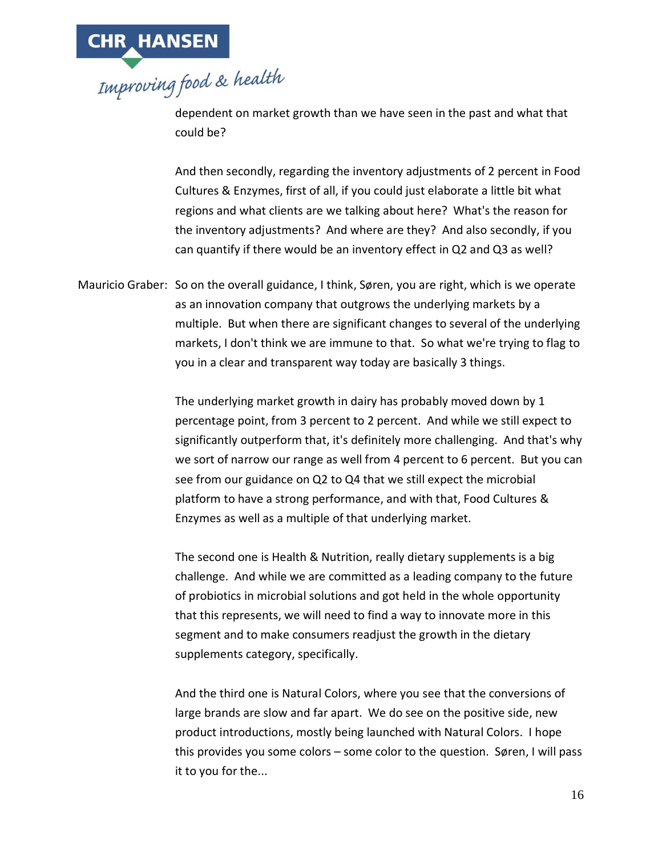

dependent on market growth than we have seen in the past and what that could be?

And then secondly, regarding the inventory adjustments of 2 percent in Food Cultures & Enzymes, first of all, if you could just elaborate a little bit what regions and what clients are we talking about here? What's the reason for the inventory adjustments? And where are they? And also secondly, if you can quantify if there would be an inventory effect in Q2 and Q3 as well?

Mauricio Graber: So on the overall guidance, I think, Søren, you are right, which is we operate as an innovation company that outgrows the underlying markets by a multiple. But when there are significant changes to several of the underlying markets, I don't think we are immune to that. So what we're trying to flag to you in a clear and transparent way today are basically 3 things.

> The underlying market growth in dairy has probably moved down by 1 percentage point, from 3 percent to 2 percent. And while we still expect to significantly outperform that, it's definitely more challenging. And that's why we sort of narrow our range as well from 4 percent to 6 percent. But you can see from our guidance on Q2 to Q4 that we still expect the microbial platform to have a strong performance, and with that, Food Cultures & Enzymes as well as a multiple of that underlying market.

The second one is Health & Nutrition, really dietary supplements is a big challenge. And while we are committed as a leading company to the future of probiotics in microbial solutions and got held in the whole opportunity that this represents, we will need to find a way to innovate more in this segment and to make consumers readjust the growth in the dietary supplements category, specifically.

And the third one is Natural Colors, where you see that the conversions of large brands are slow and far apart. We do see on the positive side, new product introductions, mostly being launched with Natural Colors. I hope this provides you some colors – some color to the question. Søren, I will pass it to you for the...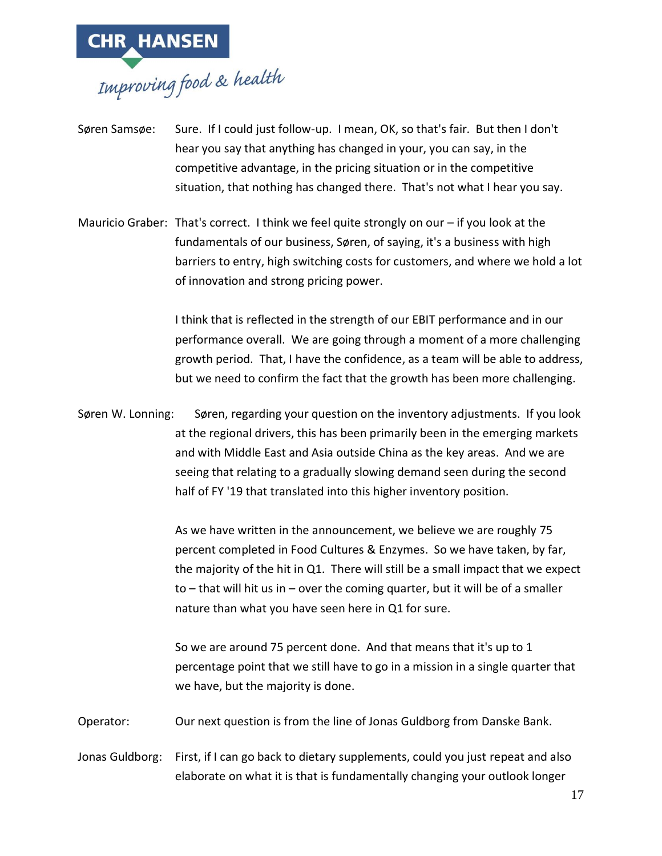

- Søren Samsøe: Sure. If I could just follow-up. I mean, OK, so that's fair. But then I don't hear you say that anything has changed in your, you can say, in the competitive advantage, in the pricing situation or in the competitive situation, that nothing has changed there. That's not what I hear you say.
- Mauricio Graber: That's correct. I think we feel quite strongly on our if you look at the fundamentals of our business, Søren, of saying, it's a business with high barriers to entry, high switching costs for customers, and where we hold a lot of innovation and strong pricing power.

I think that is reflected in the strength of our EBIT performance and in our performance overall. We are going through a moment of a more challenging growth period. That, I have the confidence, as a team will be able to address, but we need to confirm the fact that the growth has been more challenging.

Søren W. Lonning: Søren, regarding your question on the inventory adjustments. If you look at the regional drivers, this has been primarily been in the emerging markets and with Middle East and Asia outside China as the key areas. And we are seeing that relating to a gradually slowing demand seen during the second half of FY '19 that translated into this higher inventory position.

> As we have written in the announcement, we believe we are roughly 75 percent completed in Food Cultures & Enzymes. So we have taken, by far, the majority of the hit in Q1. There will still be a small impact that we expect to – that will hit us in – over the coming quarter, but it will be of a smaller nature than what you have seen here in Q1 for sure.

So we are around 75 percent done. And that means that it's up to 1 percentage point that we still have to go in a mission in a single quarter that we have, but the majority is done.

Operator: Our next question is from the line of Jonas Guldborg from Danske Bank.

Jonas Guldborg: First, if I can go back to dietary supplements, could you just repeat and also elaborate on what it is that is fundamentally changing your outlook longer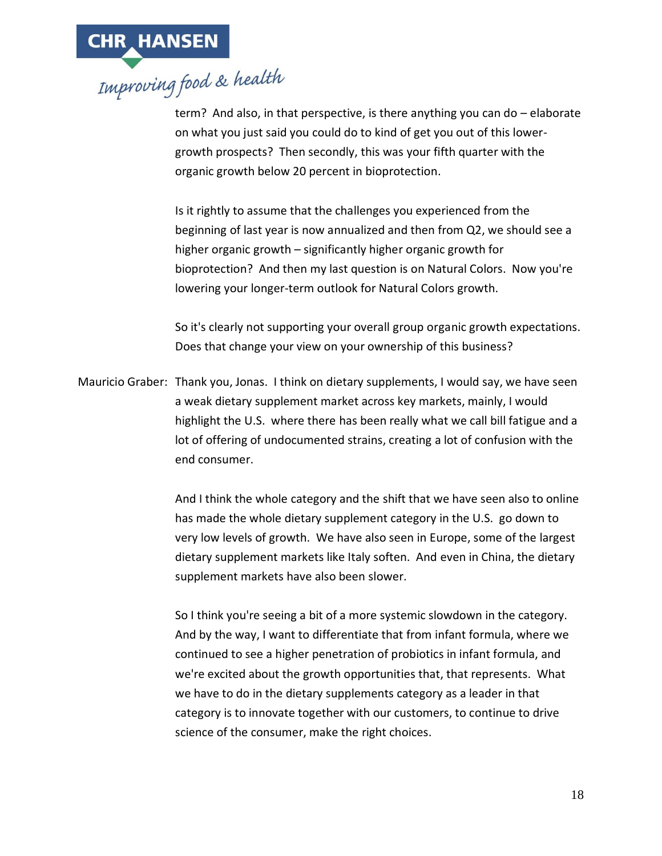

term? And also, in that perspective, is there anything you can do – elaborate on what you just said you could do to kind of get you out of this lowergrowth prospects? Then secondly, this was your fifth quarter with the organic growth below 20 percent in bioprotection.

Is it rightly to assume that the challenges you experienced from the beginning of last year is now annualized and then from Q2, we should see a higher organic growth – significantly higher organic growth for bioprotection? And then my last question is on Natural Colors. Now you're lowering your longer-term outlook for Natural Colors growth.

So it's clearly not supporting your overall group organic growth expectations. Does that change your view on your ownership of this business?

Mauricio Graber: Thank you, Jonas. I think on dietary supplements, I would say, we have seen a weak dietary supplement market across key markets, mainly, I would highlight the U.S. where there has been really what we call bill fatigue and a lot of offering of undocumented strains, creating a lot of confusion with the end consumer.

> And I think the whole category and the shift that we have seen also to online has made the whole dietary supplement category in the U.S. go down to very low levels of growth. We have also seen in Europe, some of the largest dietary supplement markets like Italy soften. And even in China, the dietary supplement markets have also been slower.

So I think you're seeing a bit of a more systemic slowdown in the category. And by the way, I want to differentiate that from infant formula, where we continued to see a higher penetration of probiotics in infant formula, and we're excited about the growth opportunities that, that represents. What we have to do in the dietary supplements category as a leader in that category is to innovate together with our customers, to continue to drive science of the consumer, make the right choices.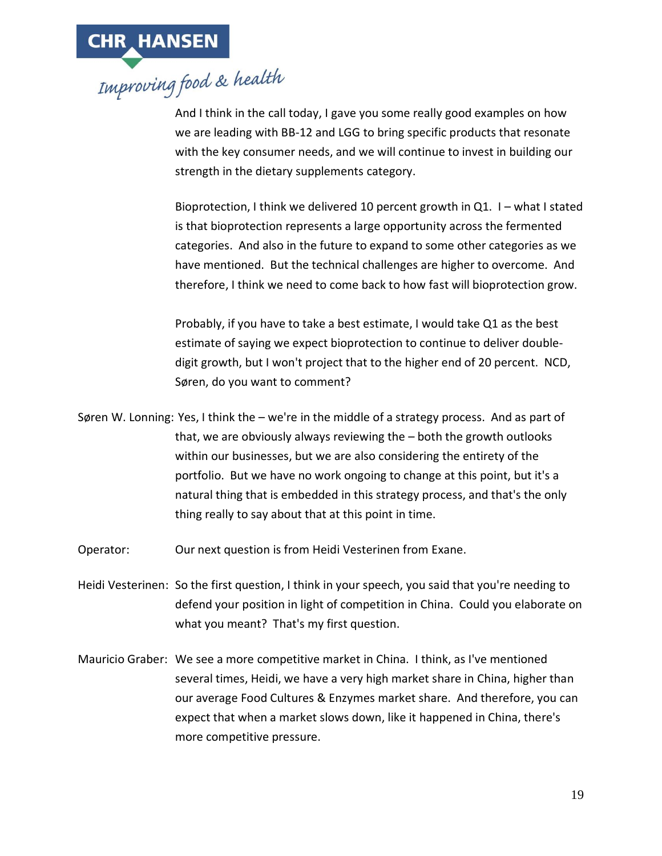

And I think in the call today, I gave you some really good examples on how we are leading with BB-12 and LGG to bring specific products that resonate with the key consumer needs, and we will continue to invest in building our strength in the dietary supplements category.

Bioprotection, I think we delivered 10 percent growth in Q1. I – what I stated is that bioprotection represents a large opportunity across the fermented categories. And also in the future to expand to some other categories as we have mentioned. But the technical challenges are higher to overcome. And therefore, I think we need to come back to how fast will bioprotection grow.

Probably, if you have to take a best estimate, I would take Q1 as the best estimate of saying we expect bioprotection to continue to deliver doubledigit growth, but I won't project that to the higher end of 20 percent. NCD, Søren, do you want to comment?

- Søren W. Lonning: Yes, I think the we're in the middle of a strategy process. And as part of that, we are obviously always reviewing the – both the growth outlooks within our businesses, but we are also considering the entirety of the portfolio. But we have no work ongoing to change at this point, but it's a natural thing that is embedded in this strategy process, and that's the only thing really to say about that at this point in time.
- Operator: Our next question is from Heidi Vesterinen from Exane.
- Heidi Vesterinen: So the first question, I think in your speech, you said that you're needing to defend your position in light of competition in China. Could you elaborate on what you meant? That's my first question.
- Mauricio Graber: We see a more competitive market in China. I think, as I've mentioned several times, Heidi, we have a very high market share in China, higher than our average Food Cultures & Enzymes market share. And therefore, you can expect that when a market slows down, like it happened in China, there's more competitive pressure.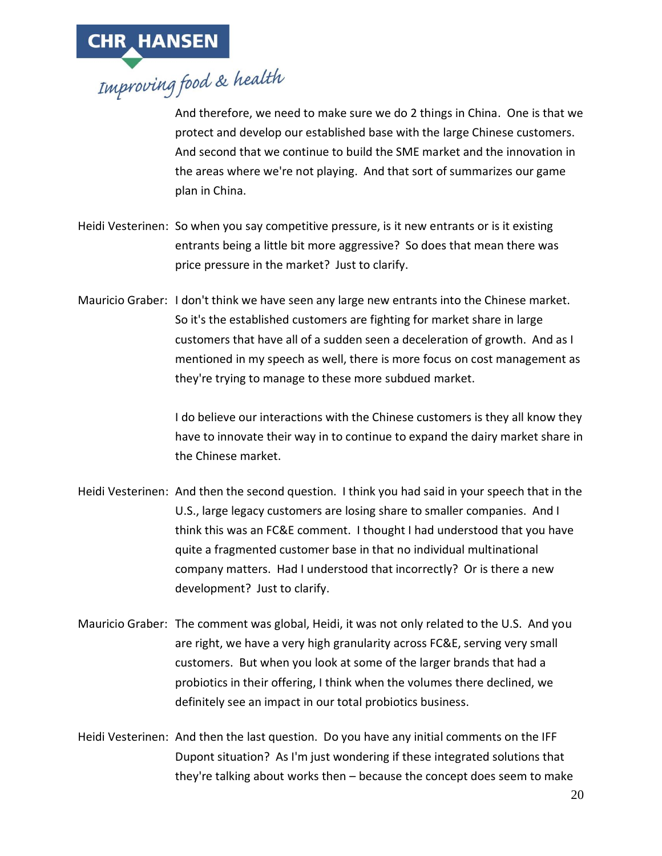

And therefore, we need to make sure we do 2 things in China. One is that we protect and develop our established base with the large Chinese customers. And second that we continue to build the SME market and the innovation in the areas where we're not playing. And that sort of summarizes our game plan in China.

- Heidi Vesterinen: So when you say competitive pressure, is it new entrants or is it existing entrants being a little bit more aggressive? So does that mean there was price pressure in the market? Just to clarify.
- Mauricio Graber: I don't think we have seen any large new entrants into the Chinese market. So it's the established customers are fighting for market share in large customers that have all of a sudden seen a deceleration of growth. And as I mentioned in my speech as well, there is more focus on cost management as they're trying to manage to these more subdued market.

I do believe our interactions with the Chinese customers is they all know they have to innovate their way in to continue to expand the dairy market share in the Chinese market.

- Heidi Vesterinen: And then the second question. I think you had said in your speech that in the U.S., large legacy customers are losing share to smaller companies. And I think this was an FC&E comment. I thought I had understood that you have quite a fragmented customer base in that no individual multinational company matters. Had I understood that incorrectly? Or is there a new development? Just to clarify.
- Mauricio Graber: The comment was global, Heidi, it was not only related to the U.S. And you are right, we have a very high granularity across FC&E, serving very small customers. But when you look at some of the larger brands that had a probiotics in their offering, I think when the volumes there declined, we definitely see an impact in our total probiotics business.
- Heidi Vesterinen: And then the last question. Do you have any initial comments on the IFF Dupont situation? As I'm just wondering if these integrated solutions that they're talking about works then – because the concept does seem to make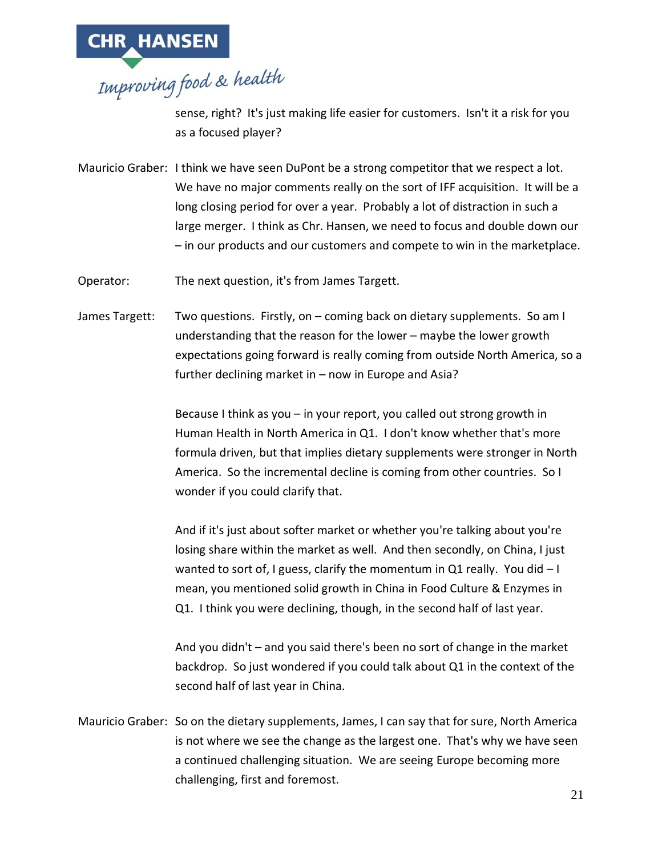

sense, right? It's just making life easier for customers. Isn't it a risk for you as a focused player?

Mauricio Graber: I think we have seen DuPont be a strong competitor that we respect a lot. We have no major comments really on the sort of IFF acquisition. It will be a long closing period for over a year. Probably a lot of distraction in such a large merger. I think as Chr. Hansen, we need to focus and double down our – in our products and our customers and compete to win in the marketplace.

Operator: The next question, it's from James Targett.

James Targett: Two questions. Firstly, on – coming back on dietary supplements. So am I understanding that the reason for the lower – maybe the lower growth expectations going forward is really coming from outside North America, so a further declining market in – now in Europe and Asia?

> Because I think as you – in your report, you called out strong growth in Human Health in North America in Q1. I don't know whether that's more formula driven, but that implies dietary supplements were stronger in North America. So the incremental decline is coming from other countries. So I wonder if you could clarify that.

And if it's just about softer market or whether you're talking about you're losing share within the market as well. And then secondly, on China, I just wanted to sort of, I guess, clarify the momentum in Q1 really. You did  $-1$ mean, you mentioned solid growth in China in Food Culture & Enzymes in Q1. I think you were declining, though, in the second half of last year.

And you didn't – and you said there's been no sort of change in the market backdrop. So just wondered if you could talk about Q1 in the context of the second half of last year in China.

Mauricio Graber: So on the dietary supplements, James, I can say that for sure, North America is not where we see the change as the largest one. That's why we have seen a continued challenging situation. We are seeing Europe becoming more challenging, first and foremost.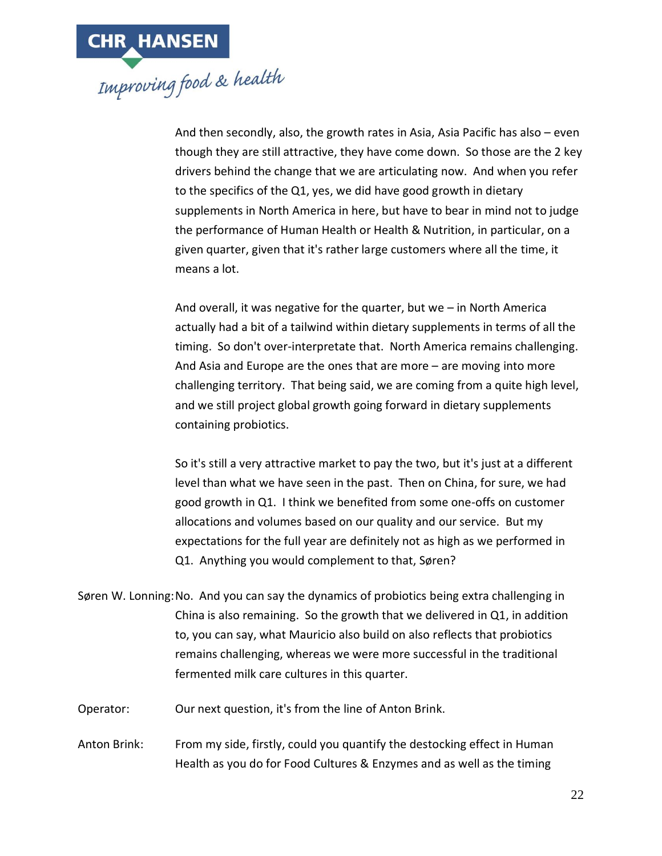And then secondly, also, the growth rates in Asia, Asia Pacific has also – even though they are still attractive, they have come down. So those are the 2 key drivers behind the change that we are articulating now. And when you refer to the specifics of the Q1, yes, we did have good growth in dietary supplements in North America in here, but have to bear in mind not to judge the performance of Human Health or Health & Nutrition, in particular, on a given quarter, given that it's rather large customers where all the time, it means a lot.

And overall, it was negative for the quarter, but we – in North America actually had a bit of a tailwind within dietary supplements in terms of all the timing. So don't over-interpretate that. North America remains challenging. And Asia and Europe are the ones that are more – are moving into more challenging territory. That being said, we are coming from a quite high level, and we still project global growth going forward in dietary supplements containing probiotics.

So it's still a very attractive market to pay the two, but it's just at a different level than what we have seen in the past. Then on China, for sure, we had good growth in Q1. I think we benefited from some one-offs on customer allocations and volumes based on our quality and our service. But my expectations for the full year are definitely not as high as we performed in Q1. Anything you would complement to that, Søren?

Søren W. Lonning:No. And you can say the dynamics of probiotics being extra challenging in China is also remaining. So the growth that we delivered in Q1, in addition to, you can say, what Mauricio also build on also reflects that probiotics remains challenging, whereas we were more successful in the traditional fermented milk care cultures in this quarter.

Operator: Our next question, it's from the line of Anton Brink.

Anton Brink: From my side, firstly, could you quantify the destocking effect in Human Health as you do for Food Cultures & Enzymes and as well as the timing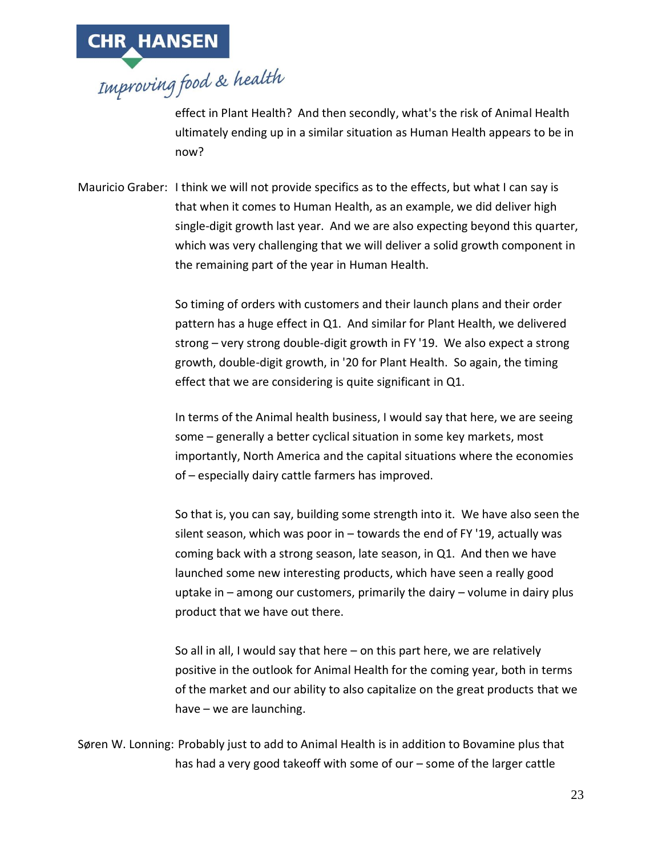

effect in Plant Health? And then secondly, what's the risk of Animal Health ultimately ending up in a similar situation as Human Health appears to be in now?

Mauricio Graber: I think we will not provide specifics as to the effects, but what I can say is that when it comes to Human Health, as an example, we did deliver high single-digit growth last year. And we are also expecting beyond this quarter, which was very challenging that we will deliver a solid growth component in the remaining part of the year in Human Health.

> So timing of orders with customers and their launch plans and their order pattern has a huge effect in Q1. And similar for Plant Health, we delivered strong – very strong double-digit growth in FY '19. We also expect a strong growth, double-digit growth, in '20 for Plant Health. So again, the timing effect that we are considering is quite significant in Q1.

> In terms of the Animal health business, I would say that here, we are seeing some – generally a better cyclical situation in some key markets, most importantly, North America and the capital situations where the economies of – especially dairy cattle farmers has improved.

So that is, you can say, building some strength into it. We have also seen the silent season, which was poor in – towards the end of FY '19, actually was coming back with a strong season, late season, in Q1. And then we have launched some new interesting products, which have seen a really good uptake in – among our customers, primarily the dairy – volume in dairy plus product that we have out there.

So all in all, I would say that here – on this part here, we are relatively positive in the outlook for Animal Health for the coming year, both in terms of the market and our ability to also capitalize on the great products that we have – we are launching.

Søren W. Lonning: Probably just to add to Animal Health is in addition to Bovamine plus that has had a very good takeoff with some of our – some of the larger cattle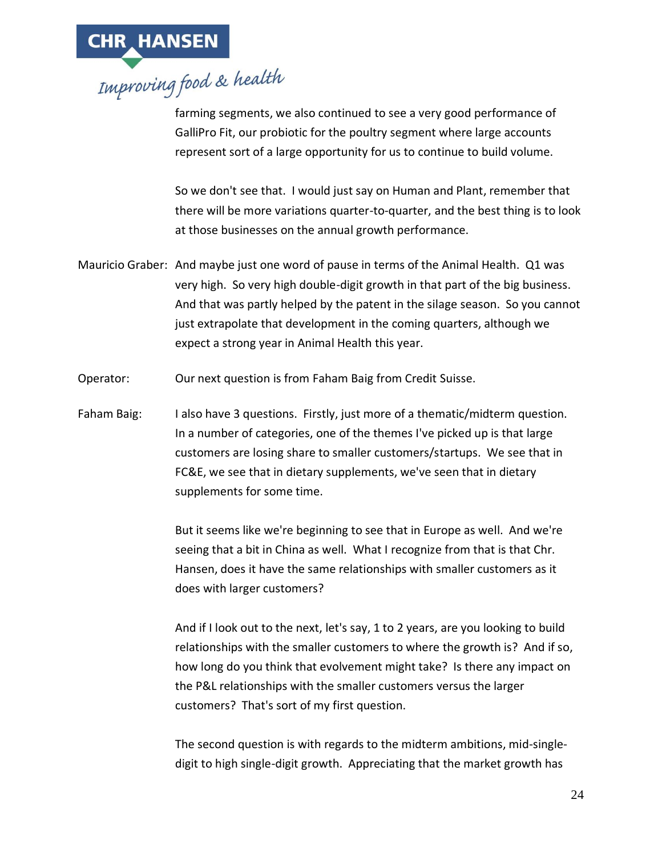

farming segments, we also continued to see a very good performance of GalliPro Fit, our probiotic for the poultry segment where large accounts represent sort of a large opportunity for us to continue to build volume.

So we don't see that. I would just say on Human and Plant, remember that there will be more variations quarter-to-quarter, and the best thing is to look at those businesses on the annual growth performance.

- Mauricio Graber: And maybe just one word of pause in terms of the Animal Health. Q1 was very high. So very high double-digit growth in that part of the big business. And that was partly helped by the patent in the silage season. So you cannot just extrapolate that development in the coming quarters, although we expect a strong year in Animal Health this year.
- Operator: Our next question is from Faham Baig from Credit Suisse.
- Faham Baig: I also have 3 questions. Firstly, just more of a thematic/midterm question. In a number of categories, one of the themes I've picked up is that large customers are losing share to smaller customers/startups. We see that in FC&E, we see that in dietary supplements, we've seen that in dietary supplements for some time.

But it seems like we're beginning to see that in Europe as well. And we're seeing that a bit in China as well. What I recognize from that is that Chr. Hansen, does it have the same relationships with smaller customers as it does with larger customers?

And if I look out to the next, let's say, 1 to 2 years, are you looking to build relationships with the smaller customers to where the growth is? And if so, how long do you think that evolvement might take? Is there any impact on the P&L relationships with the smaller customers versus the larger customers? That's sort of my first question.

The second question is with regards to the midterm ambitions, mid-singledigit to high single-digit growth. Appreciating that the market growth has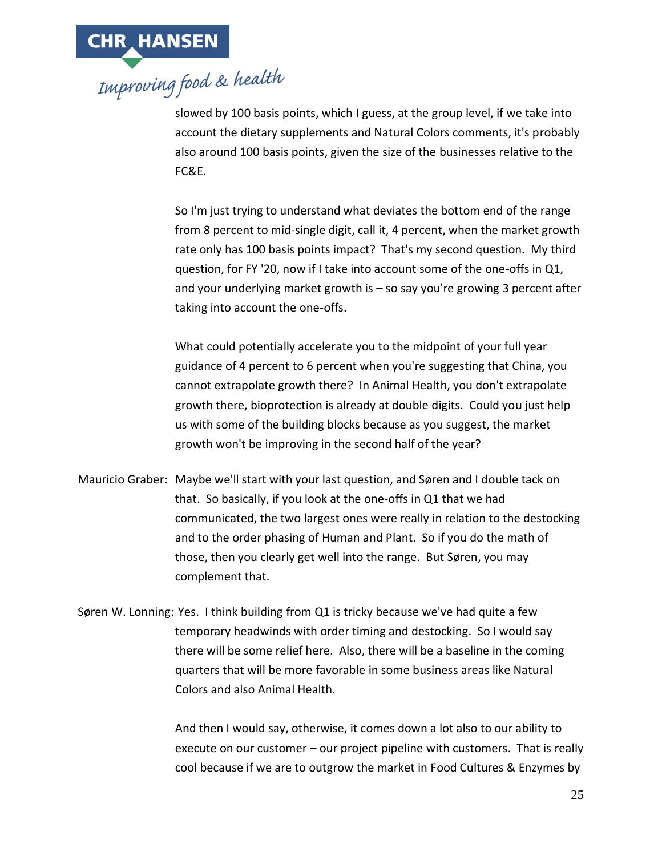

slowed by 100 basis points, which I guess, at the group level, if we take into account the dietary supplements and Natural Colors comments, it's probably also around 100 basis points, given the size of the businesses relative to the FC&E.

So I'm just trying to understand what deviates the bottom end of the range from 8 percent to mid-single digit, call it, 4 percent, when the market growth rate only has 100 basis points impact? That's my second question. My third question, for FY '20, now if I take into account some of the one-offs in Q1, and your underlying market growth is – so say you're growing 3 percent after taking into account the one-offs.

What could potentially accelerate you to the midpoint of your full year guidance of 4 percent to 6 percent when you're suggesting that China, you cannot extrapolate growth there? In Animal Health, you don't extrapolate growth there, bioprotection is already at double digits. Could you just help us with some of the building blocks because as you suggest, the market growth won't be improving in the second half of the year?

Mauricio Graber: Maybe we'll start with your last question, and Søren and I double tack on that. So basically, if you look at the one-offs in Q1 that we had communicated, the two largest ones were really in relation to the destocking and to the order phasing of Human and Plant. So if you do the math of those, then you clearly get well into the range. But Søren, you may complement that.

Søren W. Lonning: Yes. I think building from Q1 is tricky because we've had quite a few temporary headwinds with order timing and destocking. So I would say there will be some relief here. Also, there will be a baseline in the coming quarters that will be more favorable in some business areas like Natural Colors and also Animal Health.

> And then I would say, otherwise, it comes down a lot also to our ability to execute on our customer – our project pipeline with customers. That is really cool because if we are to outgrow the market in Food Cultures & Enzymes by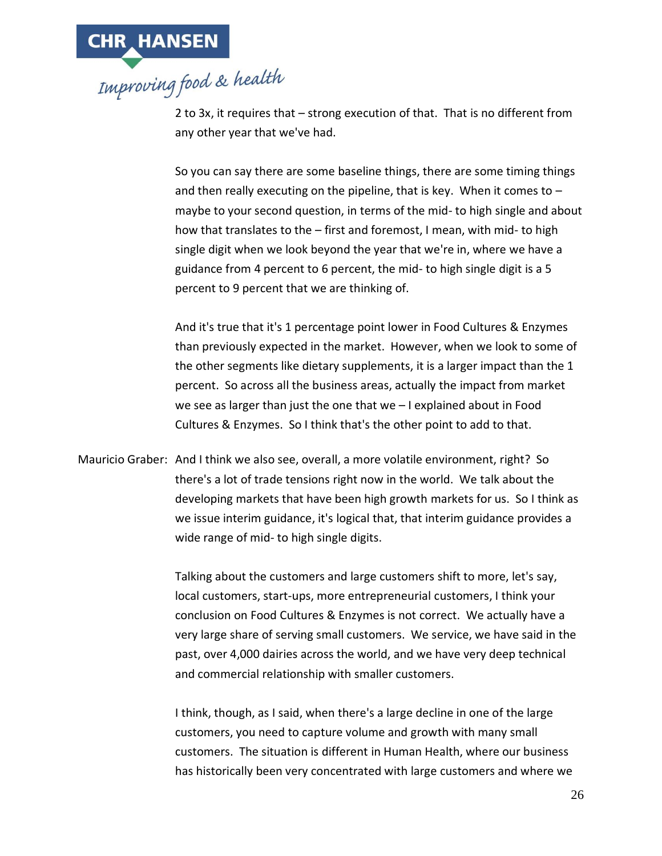

2 to 3x, it requires that – strong execution of that. That is no different from any other year that we've had.

So you can say there are some baseline things, there are some timing things and then really executing on the pipeline, that is key. When it comes to  $$ maybe to your second question, in terms of the mid- to high single and about how that translates to the – first and foremost, I mean, with mid- to high single digit when we look beyond the year that we're in, where we have a guidance from 4 percent to 6 percent, the mid- to high single digit is a 5 percent to 9 percent that we are thinking of.

And it's true that it's 1 percentage point lower in Food Cultures & Enzymes than previously expected in the market. However, when we look to some of the other segments like dietary supplements, it is a larger impact than the 1 percent. So across all the business areas, actually the impact from market we see as larger than just the one that we – I explained about in Food Cultures & Enzymes. So I think that's the other point to add to that.

Mauricio Graber: And I think we also see, overall, a more volatile environment, right? So there's a lot of trade tensions right now in the world. We talk about the developing markets that have been high growth markets for us. So I think as we issue interim guidance, it's logical that, that interim guidance provides a wide range of mid- to high single digits.

> Talking about the customers and large customers shift to more, let's say, local customers, start-ups, more entrepreneurial customers, I think your conclusion on Food Cultures & Enzymes is not correct. We actually have a very large share of serving small customers. We service, we have said in the past, over 4,000 dairies across the world, and we have very deep technical and commercial relationship with smaller customers.

I think, though, as I said, when there's a large decline in one of the large customers, you need to capture volume and growth with many small customers. The situation is different in Human Health, where our business has historically been very concentrated with large customers and where we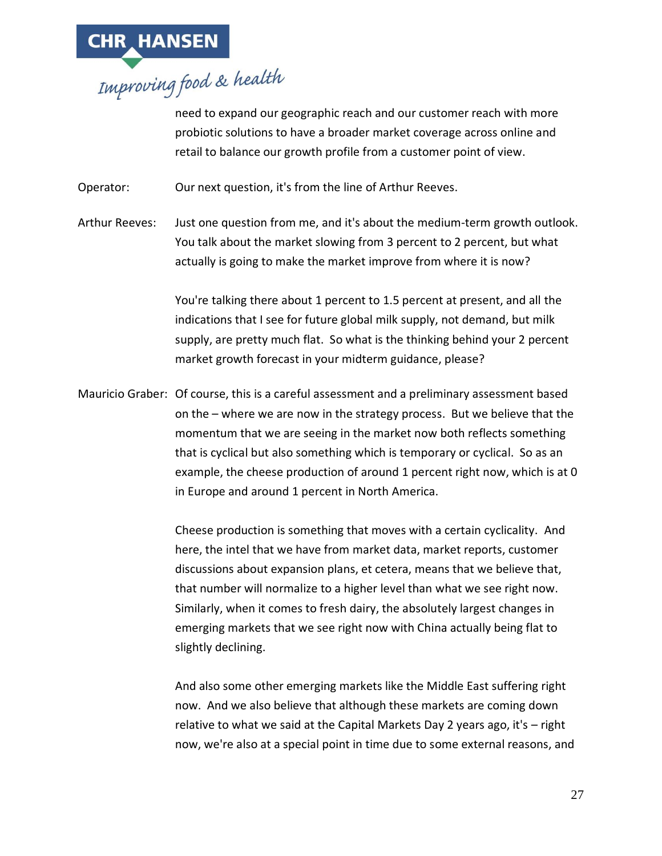

need to expand our geographic reach and our customer reach with more probiotic solutions to have a broader market coverage across online and retail to balance our growth profile from a customer point of view.

Operator: Our next question, it's from the line of Arthur Reeves.

Arthur Reeves: Just one question from me, and it's about the medium-term growth outlook. You talk about the market slowing from 3 percent to 2 percent, but what actually is going to make the market improve from where it is now?

> You're talking there about 1 percent to 1.5 percent at present, and all the indications that I see for future global milk supply, not demand, but milk supply, are pretty much flat. So what is the thinking behind your 2 percent market growth forecast in your midterm guidance, please?

Mauricio Graber: Of course, this is a careful assessment and a preliminary assessment based on the – where we are now in the strategy process. But we believe that the momentum that we are seeing in the market now both reflects something that is cyclical but also something which is temporary or cyclical. So as an example, the cheese production of around 1 percent right now, which is at 0 in Europe and around 1 percent in North America.

> Cheese production is something that moves with a certain cyclicality. And here, the intel that we have from market data, market reports, customer discussions about expansion plans, et cetera, means that we believe that, that number will normalize to a higher level than what we see right now. Similarly, when it comes to fresh dairy, the absolutely largest changes in emerging markets that we see right now with China actually being flat to slightly declining.

And also some other emerging markets like the Middle East suffering right now. And we also believe that although these markets are coming down relative to what we said at the Capital Markets Day 2 years ago, it's – right now, we're also at a special point in time due to some external reasons, and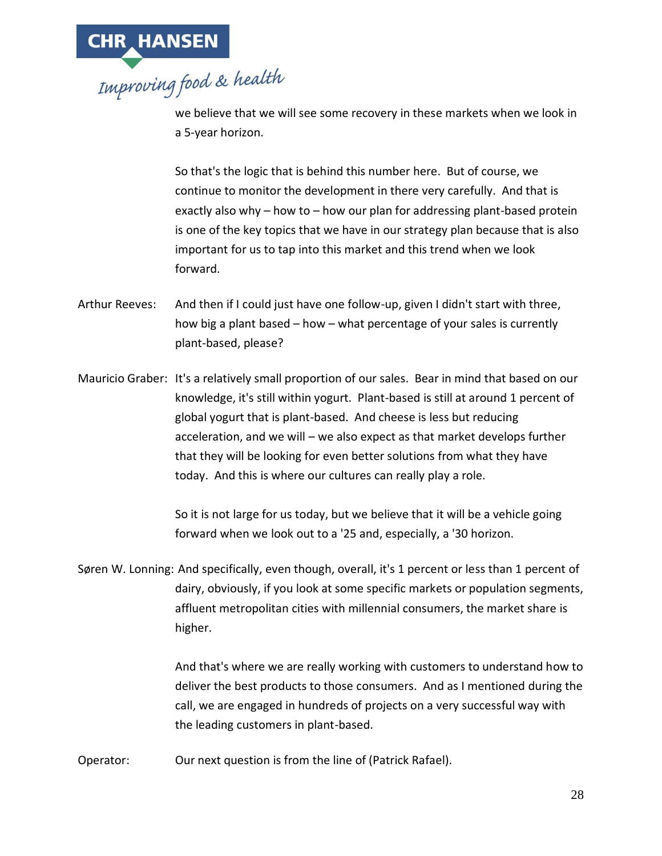

we believe that we will see some recovery in these markets when we look in a 5-year horizon.

So that's the logic that is behind this number here. But of course, we continue to monitor the development in there very carefully. And that is exactly also why – how to – how our plan for addressing plant-based protein is one of the key topics that we have in our strategy plan because that is also important for us to tap into this market and this trend when we look forward.

- Arthur Reeves: And then if I could just have one follow-up, given I didn't start with three, how big a plant based – how – what percentage of your sales is currently plant-based, please?
- Mauricio Graber: It's a relatively small proportion of our sales. Bear in mind that based on our knowledge, it's still within yogurt. Plant-based is still at around 1 percent of global yogurt that is plant-based. And cheese is less but reducing acceleration, and we will – we also expect as that market develops further that they will be looking for even better solutions from what they have today. And this is where our cultures can really play a role.

So it is not large for us today, but we believe that it will be a vehicle going forward when we look out to a '25 and, especially, a '30 horizon.

Søren W. Lonning: And specifically, even though, overall, it's 1 percent or less than 1 percent of dairy, obviously, if you look at some specific markets or population segments, affluent metropolitan cities with millennial consumers, the market share is higher.

> And that's where we are really working with customers to understand how to deliver the best products to those consumers. And as I mentioned during the call, we are engaged in hundreds of projects on a very successful way with the leading customers in plant-based.

Operator: Our next question is from the line of (Patrick Rafael).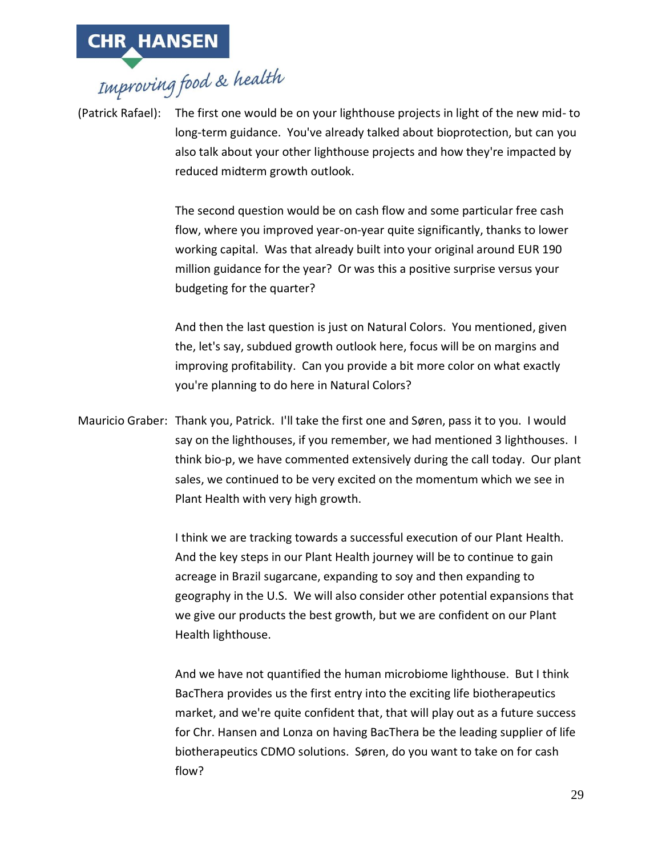(Patrick Rafael): The first one would be on your lighthouse projects in light of the new mid- to long-term guidance. You've already talked about bioprotection, but can you also talk about your other lighthouse projects and how they're impacted by reduced midterm growth outlook.

> The second question would be on cash flow and some particular free cash flow, where you improved year-on-year quite significantly, thanks to lower working capital. Was that already built into your original around EUR 190 million guidance for the year? Or was this a positive surprise versus your budgeting for the quarter?

> And then the last question is just on Natural Colors. You mentioned, given the, let's say, subdued growth outlook here, focus will be on margins and improving profitability. Can you provide a bit more color on what exactly you're planning to do here in Natural Colors?

Mauricio Graber: Thank you, Patrick. I'll take the first one and Søren, pass it to you. I would say on the lighthouses, if you remember, we had mentioned 3 lighthouses. I think bio-p, we have commented extensively during the call today. Our plant sales, we continued to be very excited on the momentum which we see in Plant Health with very high growth.

> I think we are tracking towards a successful execution of our Plant Health. And the key steps in our Plant Health journey will be to continue to gain acreage in Brazil sugarcane, expanding to soy and then expanding to geography in the U.S. We will also consider other potential expansions that we give our products the best growth, but we are confident on our Plant Health lighthouse.

> And we have not quantified the human microbiome lighthouse. But I think BacThera provides us the first entry into the exciting life biotherapeutics market, and we're quite confident that, that will play out as a future success for Chr. Hansen and Lonza on having BacThera be the leading supplier of life biotherapeutics CDMO solutions. Søren, do you want to take on for cash flow?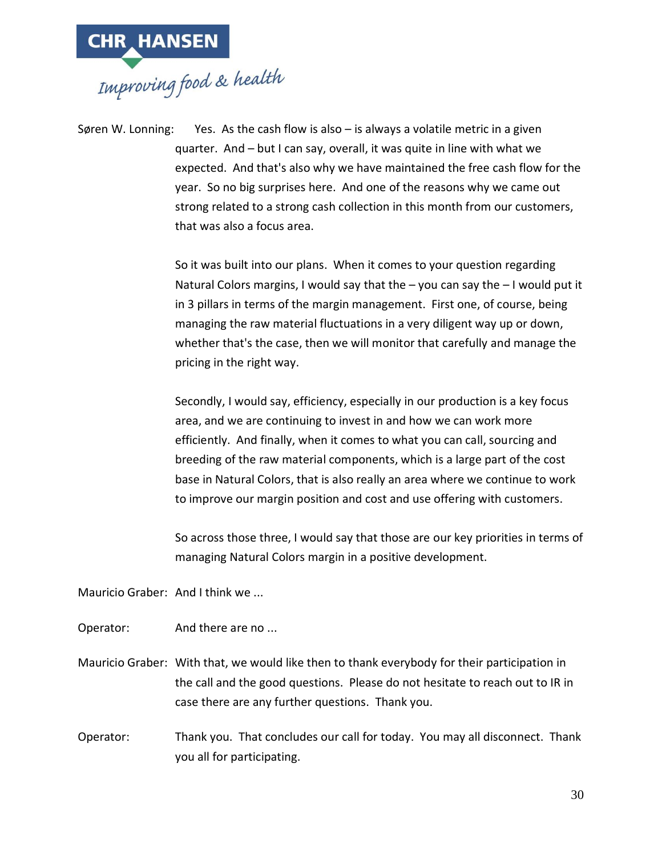

Søren W. Lonning: Yes. As the cash flow is also  $-$  is always a volatile metric in a given quarter. And – but I can say, overall, it was quite in line with what we expected. And that's also why we have maintained the free cash flow for the year. So no big surprises here. And one of the reasons why we came out strong related to a strong cash collection in this month from our customers, that was also a focus area.

> So it was built into our plans. When it comes to your question regarding Natural Colors margins, I would say that the – you can say the – I would put it in 3 pillars in terms of the margin management. First one, of course, being managing the raw material fluctuations in a very diligent way up or down, whether that's the case, then we will monitor that carefully and manage the pricing in the right way.

Secondly, I would say, efficiency, especially in our production is a key focus area, and we are continuing to invest in and how we can work more efficiently. And finally, when it comes to what you can call, sourcing and breeding of the raw material components, which is a large part of the cost base in Natural Colors, that is also really an area where we continue to work to improve our margin position and cost and use offering with customers.

So across those three, I would say that those are our key priorities in terms of managing Natural Colors margin in a positive development.

Mauricio Graber: And I think we ...

Operator: And there are no ...

Mauricio Graber: With that, we would like then to thank everybody for their participation in the call and the good questions. Please do not hesitate to reach out to IR in case there are any further questions. Thank you.

Operator: Thank you. That concludes our call for today. You may all disconnect. Thank you all for participating.